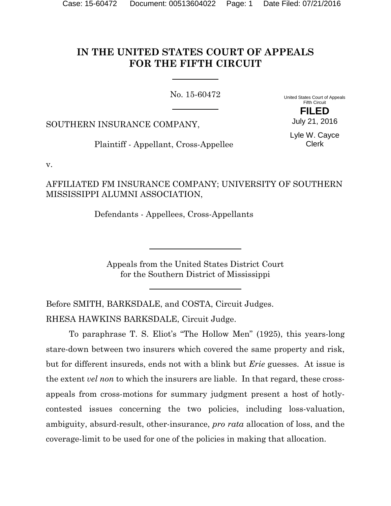# **IN THE UNITED STATES COURT OF APPEALS FOR THE FIFTH CIRCUIT**

No. 15-60472

United States Court of Appeals Fifth Circuit **FILED**

SOUTHERN INSURANCE COMPANY,

Lyle W. Cayce Clerk

July 21, 2016

Plaintiff - Appellant, Cross-Appellee

v.

AFFILIATED FM INSURANCE COMPANY; UNIVERSITY OF SOUTHERN MISSISSIPPI ALUMNI ASSOCIATION,

Defendants - Appellees, Cross-Appellants

Appeals from the United States District Court for the Southern District of Mississippi

Before SMITH, BARKSDALE, and COSTA, Circuit Judges. RHESA HAWKINS BARKSDALE, Circuit Judge.

To paraphrase T. S. Eliot's "The Hollow Men" (1925), this years-long stare-down between two insurers which covered the same property and risk, but for different insureds, ends not with a blink but *Erie* guesses. At issue is the extent *vel non* to which the insurers are liable. In that regard, these crossappeals from cross-motions for summary judgment present a host of hotlycontested issues concerning the two policies, including loss-valuation, ambiguity, absurd-result, other-insurance, *pro rata* allocation of loss, and the coverage-limit to be used for one of the policies in making that allocation.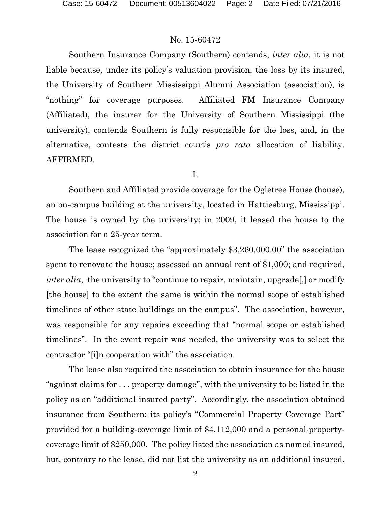Southern Insurance Company (Southern) contends, *inter alia*, it is not liable because, under its policy's valuation provision, the loss by its insured, the University of Southern Mississippi Alumni Association (association), is "nothing" for coverage purposes. Affiliated FM Insurance Company (Affiliated), the insurer for the University of Southern Mississippi (the university), contends Southern is fully responsible for the loss, and, in the alternative, contests the district court's *pro rata* allocation of liability. AFFIRMED.

I.

Southern and Affiliated provide coverage for the Ogletree House (house), an on-campus building at the university, located in Hattiesburg, Mississippi. The house is owned by the university; in 2009, it leased the house to the association for a 25-year term.

The lease recognized the "approximately \$3,260,000.00" the association spent to renovate the house; assessed an annual rent of \$1,000; and required, *inter alia*, the university to "continue to repair, maintain, upgrade...] or modify [the house] to the extent the same is within the normal scope of established timelines of other state buildings on the campus". The association, however, was responsible for any repairs exceeding that "normal scope or established timelines". In the event repair was needed, the university was to select the contractor "[i]n cooperation with" the association.

The lease also required the association to obtain insurance for the house "against claims for . . . property damage", with the university to be listed in the policy as an "additional insured party". Accordingly, the association obtained insurance from Southern; its policy's "Commercial Property Coverage Part" provided for a building-coverage limit of \$4,112,000 and a personal-propertycoverage limit of \$250,000. The policy listed the association as named insured, but, contrary to the lease, did not list the university as an additional insured.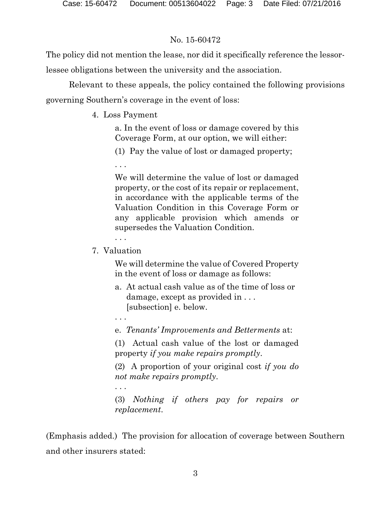The policy did not mention the lease, nor did it specifically reference the lessorlessee obligations between the university and the association.

Relevant to these appeals, the policy contained the following provisions governing Southern's coverage in the event of loss:

4. Loss Payment

a. In the event of loss or damage covered by this Coverage Form, at our option, we will either:

(1) Pay the value of lost or damaged property;

. . .

We will determine the value of lost or damaged property, or the cost of its repair or replacement, in accordance with the applicable terms of the Valuation Condition in this Coverage Form or any applicable provision which amends or supersedes the Valuation Condition.

. . .

7. Valuation

We will determine the value of Covered Property in the event of loss or damage as follows:

- a. At actual cash value as of the time of loss or damage, except as provided in . . . [subsection] e. below.
- . . .

. . .

e. *Tenants' Improvements and Betterments* at:

(1) Actual cash value of the lost or damaged property *if you make repairs promptly*.

(2) A proportion of your original cost *if you do not make repairs promptly*.

(3) *Nothing if others pay for repairs or replacement*.

(Emphasis added.) The provision for allocation of coverage between Southern and other insurers stated: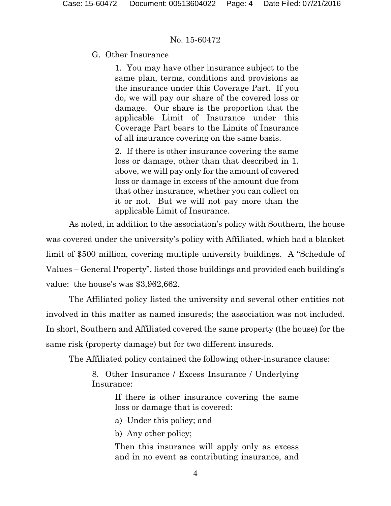## G. Other Insurance

1. You may have other insurance subject to the same plan, terms, conditions and provisions as the insurance under this Coverage Part. If you do, we will pay our share of the covered loss or damage. Our share is the proportion that the applicable Limit of Insurance under this Coverage Part bears to the Limits of Insurance of all insurance covering on the same basis.

2. If there is other insurance covering the same loss or damage, other than that described in 1. above, we will pay only for the amount of covered loss or damage in excess of the amount due from that other insurance, whether you can collect on it or not. But we will not pay more than the applicable Limit of Insurance.

As noted, in addition to the association's policy with Southern, the house was covered under the university's policy with Affiliated, which had a blanket limit of \$500 million, covering multiple university buildings. A "Schedule of Values – General Property", listed those buildings and provided each building's value: the house's was \$3,962,662.

The Affiliated policy listed the university and several other entities not involved in this matter as named insureds; the association was not included. In short, Southern and Affiliated covered the same property (the house) for the same risk (property damage) but for two different insureds.

The Affiliated policy contained the following other-insurance clause:

8. Other Insurance / Excess Insurance / Underlying Insurance:

> If there is other insurance covering the same loss or damage that is covered:

a) Under this policy; and

b) Any other policy;

Then this insurance will apply only as excess and in no event as contributing insurance, and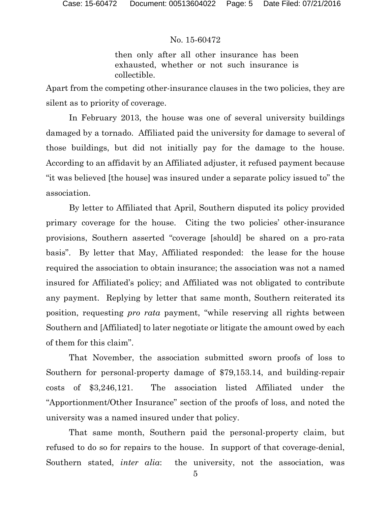then only after all other insurance has been exhausted, whether or not such insurance is collectible.

Apart from the competing other-insurance clauses in the two policies, they are silent as to priority of coverage.

In February 2013, the house was one of several university buildings damaged by a tornado. Affiliated paid the university for damage to several of those buildings, but did not initially pay for the damage to the house. According to an affidavit by an Affiliated adjuster, it refused payment because "it was believed [the house] was insured under a separate policy issued to" the association.

By letter to Affiliated that April, Southern disputed its policy provided primary coverage for the house. Citing the two policies' other-insurance provisions, Southern asserted "coverage [should] be shared on a pro-rata basis". By letter that May, Affiliated responded: the lease for the house required the association to obtain insurance; the association was not a named insured for Affiliated's policy; and Affiliated was not obligated to contribute any payment. Replying by letter that same month, Southern reiterated its position, requesting *pro rata* payment, "while reserving all rights between Southern and [Affiliated] to later negotiate or litigate the amount owed by each of them for this claim".

That November, the association submitted sworn proofs of loss to Southern for personal-property damage of \$79,153.14, and building-repair costs of \$3,246,121. The association listed Affiliated under the "Apportionment/Other Insurance" section of the proofs of loss, and noted the university was a named insured under that policy.

That same month, Southern paid the personal-property claim, but refused to do so for repairs to the house. In support of that coverage-denial, Southern stated, *inter alia*: the university, not the association, was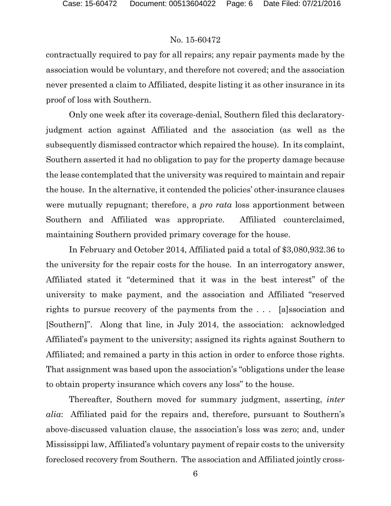contractually required to pay for all repairs; any repair payments made by the association would be voluntary, and therefore not covered; and the association never presented a claim to Affiliated, despite listing it as other insurance in its proof of loss with Southern.

Only one week after its coverage-denial, Southern filed this declaratoryjudgment action against Affiliated and the association (as well as the subsequently dismissed contractor which repaired the house). In its complaint, Southern asserted it had no obligation to pay for the property damage because the lease contemplated that the university was required to maintain and repair the house. In the alternative, it contended the policies' other-insurance clauses were mutually repugnant; therefore, a *pro rata* loss apportionment between Southern and Affiliated was appropriate. Affiliated counterclaimed, maintaining Southern provided primary coverage for the house.

In February and October 2014, Affiliated paid a total of \$3,080,932.36 to the university for the repair costs for the house. In an interrogatory answer, Affiliated stated it "determined that it was in the best interest" of the university to make payment, and the association and Affiliated "reserved rights to pursue recovery of the payments from the . . . [a]ssociation and [Southern]". Along that line, in July 2014, the association: acknowledged Affiliated's payment to the university; assigned its rights against Southern to Affiliated; and remained a party in this action in order to enforce those rights. That assignment was based upon the association's "obligations under the lease to obtain property insurance which covers any loss" to the house.

Thereafter, Southern moved for summary judgment, asserting, *inter alia*: Affiliated paid for the repairs and, therefore, pursuant to Southern's above-discussed valuation clause, the association's loss was zero; and, under Mississippi law, Affiliated's voluntary payment of repair costs to the university foreclosed recovery from Southern. The association and Affiliated jointly cross-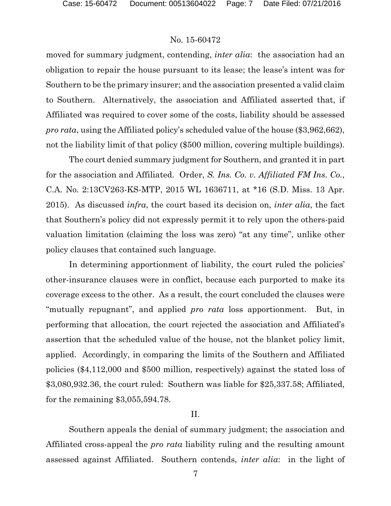moved for summary judgment, contending, *inter alia*: the association had an obligation to repair the house pursuant to its lease; the lease's intent was for Southern to be the primary insurer; and the association presented a valid claim to Southern. Alternatively, the association and Affiliated asserted that, if Affiliated was required to cover some of the costs, liability should be assessed *pro rata*, using the Affiliated policy's scheduled value of the house (\$3,962,662), not the liability limit of that policy (\$500 million, covering multiple buildings).

The court denied summary judgment for Southern, and granted it in part for the association and Affiliated. Order, *S. Ins. Co. v. Affiliated FM Ins. Co.*, C.A. No. 2:13CV263-KS-MTP, 2015 WL 1636711, at \*16 (S.D. Miss. 13 Apr. 2015). As discussed *infra*, the court based its decision on, *inter alia*, the fact that Southern's policy did not expressly permit it to rely upon the others-paid valuation limitation (claiming the loss was zero) "at any time", unlike other policy clauses that contained such language.

In determining apportionment of liability, the court ruled the policies' other-insurance clauses were in conflict, because each purported to make its coverage excess to the other. As a result, the court concluded the clauses were "mutually repugnant", and applied *pro rata* loss apportionment. But, in performing that allocation, the court rejected the association and Affiliated's assertion that the scheduled value of the house, not the blanket policy limit, applied. Accordingly, in comparing the limits of the Southern and Affiliated policies (\$4,112,000 and \$500 million, respectively) against the stated loss of \$3,080,932.36, the court ruled: Southern was liable for \$25,337.58; Affiliated, for the remaining \$3,055,594.78.

#### II.

Southern appeals the denial of summary judgment; the association and Affiliated cross-appeal the *pro rata* liability ruling and the resulting amount assessed against Affiliated. Southern contends, *inter alia*: in the light of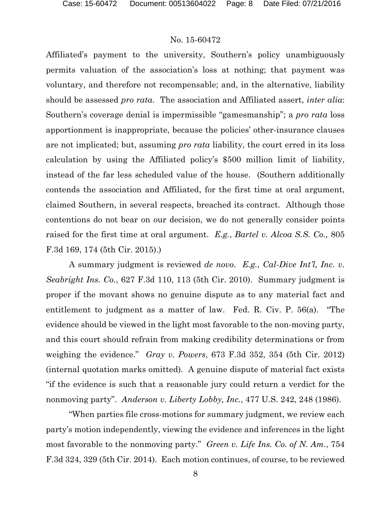Affiliated's payment to the university, Southern's policy unambiguously permits valuation of the association's loss at nothing; that payment was voluntary, and therefore not recompensable; and, in the alternative, liability should be assessed *pro rata*. The association and Affiliated assert, *inter alia*: Southern's coverage denial is impermissible "gamesmanship"; a *pro rata* loss apportionment is inappropriate, because the policies' other-insurance clauses are not implicated; but, assuming *pro rata* liability, the court erred in its loss calculation by using the Affiliated policy's \$500 million limit of liability, instead of the far less scheduled value of the house. (Southern additionally contends the association and Affiliated, for the first time at oral argument, claimed Southern, in several respects, breached its contract. Although those contentions do not bear on our decision, we do not generally consider points raised for the first time at oral argument. *E.g.*, *Bartel v. Alcoa S.S. Co.,* 805 F.3d 169, 174 (5th Cir. 2015).)

A summary judgment is reviewed *de novo*. *E.g.*, *Cal-Dive Int'l, Inc. v. Seabright Ins. Co.*, 627 F.3d 110, 113 (5th Cir. 2010). Summary judgment is proper if the movant shows no genuine dispute as to any material fact and entitlement to judgment as a matter of law. Fed. R. Civ. P. 56(a). "The evidence should be viewed in the light most favorable to the non-moving party, and this court should refrain from making credibility determinations or from weighing the evidence." *Gray v. Powers*, 673 F.3d 352, 354 (5th Cir. 2012) (internal quotation marks omitted). A genuine dispute of material fact exists "if the evidence is such that a reasonable jury could return a verdict for the nonmoving party". *Anderson v. Liberty Lobby, Inc.*, 477 U.S. 242, 248 (1986).

"When parties file cross-motions for summary judgment, we review each party's motion independently, viewing the evidence and inferences in the light most favorable to the nonmoving party." *Green v. Life Ins. Co. of N. Am.*, 754 F.3d 324, 329 (5th Cir. 2014). Each motion continues, of course, to be reviewed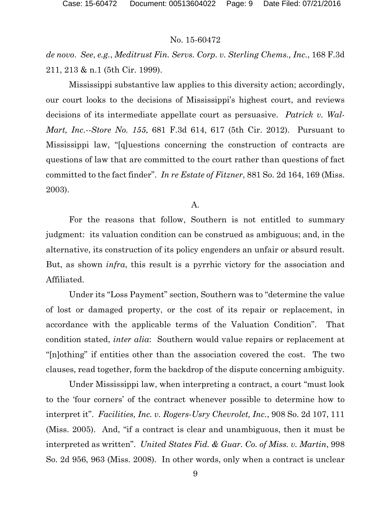*de novo*. *See*, *e.g.*, *Meditrust Fin. Servs. Corp. v. Sterling Chems., Inc.*, 168 F.3d 211, 213 & n.1 (5th Cir. 1999).

Mississippi substantive law applies to this diversity action; accordingly, our court looks to the decisions of Mississippi's highest court, and reviews decisions of its intermediate appellate court as persuasive. *Patrick v. Wal-Mart, Inc.--Store No. 155*, 681 F.3d 614, 617 (5th Cir. 2012). Pursuant to Mississippi law, "[q]uestions concerning the construction of contracts are questions of law that are committed to the court rather than questions of fact committed to the fact finder". *In re Estate of Fitzner*, 881 So. 2d 164, 169 (Miss. 2003).

A.

For the reasons that follow, Southern is not entitled to summary judgment: its valuation condition can be construed as ambiguous; and, in the alternative, its construction of its policy engenders an unfair or absurd result. But, as shown *infra*, this result is a pyrrhic victory for the association and Affiliated.

Under its "Loss Payment" section, Southern was to "determine the value of lost or damaged property, or the cost of its repair or replacement, in accordance with the applicable terms of the Valuation Condition". That condition stated, *inter alia*: Southern would value repairs or replacement at "[n]othing" if entities other than the association covered the cost. The two clauses, read together, form the backdrop of the dispute concerning ambiguity.

Under Mississippi law, when interpreting a contract, a court "must look to the 'four corners' of the contract whenever possible to determine how to interpret it". *Facilities, Inc. v. Rogers-Usry Chevrolet, Inc.*, 908 So. 2d 107, 111 (Miss. 2005). And, "if a contract is clear and unambiguous, then it must be interpreted as written". *United States Fid. & Guar. Co. of Miss. v. Martin*, 998 So. 2d 956, 963 (Miss. 2008). In other words, only when a contract is unclear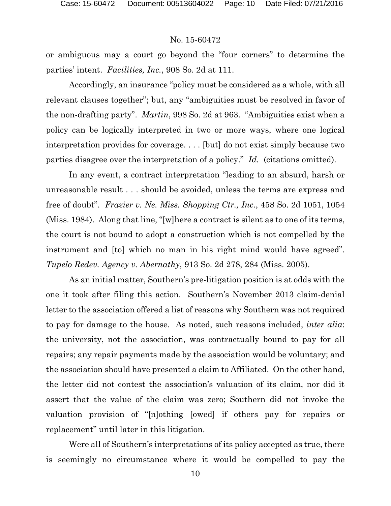or ambiguous may a court go beyond the "four corners" to determine the parties' intent. *Facilities, Inc.*, 908 So. 2d at 111.

Accordingly, an insurance "policy must be considered as a whole, with all relevant clauses together"; but, any "ambiguities must be resolved in favor of the non-drafting party". *Martin*, 998 So. 2d at 963. "Ambiguities exist when a policy can be logically interpreted in two or more ways, where one logical interpretation provides for coverage. . . . [but] do not exist simply because two parties disagree over the interpretation of a policy." *Id.* (citations omitted).

In any event, a contract interpretation "leading to an absurd, harsh or unreasonable result . . . should be avoided, unless the terms are express and free of doubt". *Frazier v. Ne. Miss. Shopping Ctr., Inc.*, 458 So. 2d 1051, 1054 (Miss. 1984). Along that line, "[w]here a contract is silent as to one of its terms, the court is not bound to adopt a construction which is not compelled by the instrument and [to] which no man in his right mind would have agreed". *Tupelo Redev. Agency v. Abernathy*, 913 So. 2d 278, 284 (Miss. 2005).

As an initial matter, Southern's pre-litigation position is at odds with the one it took after filing this action. Southern's November 2013 claim-denial letter to the association offered a list of reasons why Southern was not required to pay for damage to the house. As noted, such reasons included, *inter alia*: the university, not the association, was contractually bound to pay for all repairs; any repair payments made by the association would be voluntary; and the association should have presented a claim to Affiliated. On the other hand, the letter did not contest the association's valuation of its claim, nor did it assert that the value of the claim was zero; Southern did not invoke the valuation provision of "[n]othing [owed] if others pay for repairs or replacement" until later in this litigation.

Were all of Southern's interpretations of its policy accepted as true, there is seemingly no circumstance where it would be compelled to pay the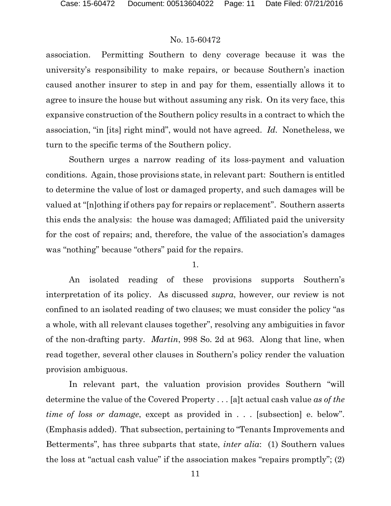association. Permitting Southern to deny coverage because it was the university's responsibility to make repairs, or because Southern's inaction caused another insurer to step in and pay for them, essentially allows it to agree to insure the house but without assuming any risk. On its very face, this expansive construction of the Southern policy results in a contract to which the association, "in [its] right mind", would not have agreed. *Id.* Nonetheless, we turn to the specific terms of the Southern policy.

Southern urges a narrow reading of its loss-payment and valuation conditions. Again, those provisions state, in relevant part: Southern is entitled to determine the value of lost or damaged property, and such damages will be valued at "[n]othing if others pay for repairs or replacement". Southern asserts this ends the analysis: the house was damaged; Affiliated paid the university for the cost of repairs; and, therefore, the value of the association's damages was "nothing" because "others" paid for the repairs.

1.

An isolated reading of these provisions supports Southern's interpretation of its policy. As discussed *supra*, however, our review is not confined to an isolated reading of two clauses; we must consider the policy "as a whole, with all relevant clauses together", resolving any ambiguities in favor of the non-drafting party. *Martin*, 998 So. 2d at 963. Along that line, when read together, several other clauses in Southern's policy render the valuation provision ambiguous.

In relevant part, the valuation provision provides Southern "will determine the value of the Covered Property . . . [a]t actual cash value *as of the time of loss or damage*, except as provided in . . . [subsection] e. below". (Emphasis added). That subsection, pertaining to "Tenants Improvements and Betterments", has three subparts that state, *inter alia*: (1) Southern values the loss at "actual cash value" if the association makes "repairs promptly"; (2)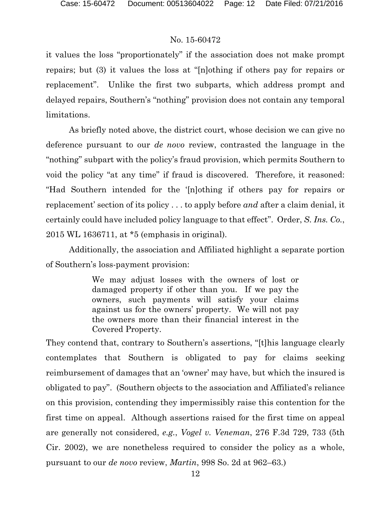it values the loss "proportionately" if the association does not make prompt repairs; but (3) it values the loss at "[n]othing if others pay for repairs or replacement". Unlike the first two subparts, which address prompt and delayed repairs, Southern's "nothing" provision does not contain any temporal limitations.

As briefly noted above, the district court, whose decision we can give no deference pursuant to our *de novo* review, contrasted the language in the "nothing" subpart with the policy's fraud provision, which permits Southern to void the policy "at any time" if fraud is discovered. Therefore, it reasoned: "Had Southern intended for the '[n]othing if others pay for repairs or replacement' section of its policy . . . to apply before *and* after a claim denial, it certainly could have included policy language to that effect". Order, *S. Ins. Co.*, 2015 WL 1636711, at \*5 (emphasis in original).

Additionally, the association and Affiliated highlight a separate portion of Southern's loss-payment provision:

> We may adjust losses with the owners of lost or damaged property if other than you. If we pay the owners, such payments will satisfy your claims against us for the owners' property. We will not pay the owners more than their financial interest in the Covered Property.

They contend that, contrary to Southern's assertions, "[t]his language clearly contemplates that Southern is obligated to pay for claims seeking reimbursement of damages that an 'owner' may have, but which the insured is obligated to pay". (Southern objects to the association and Affiliated's reliance on this provision, contending they impermissibly raise this contention for the first time on appeal. Although assertions raised for the first time on appeal are generally not considered, *e.g.*, *Vogel v. Veneman*, 276 F.3d 729, 733 (5th Cir. 2002), we are nonetheless required to consider the policy as a whole, pursuant to our *de novo* review, *Martin*, 998 So. 2d at 962–63.)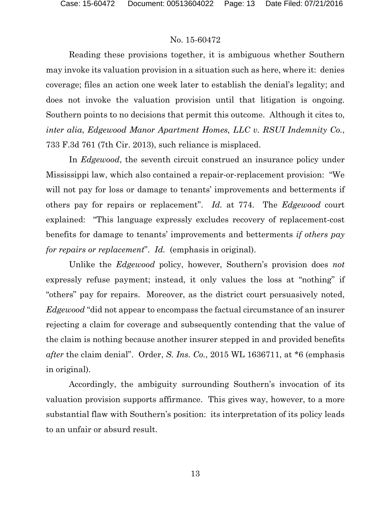Reading these provisions together, it is ambiguous whether Southern may invoke its valuation provision in a situation such as here, where it: denies coverage; files an action one week later to establish the denial's legality; and does not invoke the valuation provision until that litigation is ongoing. Southern points to no decisions that permit this outcome. Although it cites to, *inter alia*, *Edgewood Manor Apartment Homes, LLC v. RSUI Indemnity Co.*, 733 F.3d 761 (7th Cir. 2013), such reliance is misplaced.

In *Edgewood*, the seventh circuit construed an insurance policy under Mississippi law, which also contained a repair-or-replacement provision: "We will not pay for loss or damage to tenants' improvements and betterments if others pay for repairs or replacement". *Id.* at 774. The *Edgewood* court explained: "This language expressly excludes recovery of replacement-cost benefits for damage to tenants' improvements and betterments *if others pay for repairs or replacement*". *Id.* (emphasis in original).

Unlike the *Edgewood* policy, however, Southern's provision does *not* expressly refuse payment; instead, it only values the loss at "nothing" if "others" pay for repairs. Moreover, as the district court persuasively noted, *Edgewood* "did not appear to encompass the factual circumstance of an insurer rejecting a claim for coverage and subsequently contending that the value of the claim is nothing because another insurer stepped in and provided benefits *after* the claim denial". Order, *S. Ins. Co.*, 2015 WL 1636711, at \*6 (emphasis in original).

Accordingly, the ambiguity surrounding Southern's invocation of its valuation provision supports affirmance. This gives way, however, to a more substantial flaw with Southern's position: its interpretation of its policy leads to an unfair or absurd result.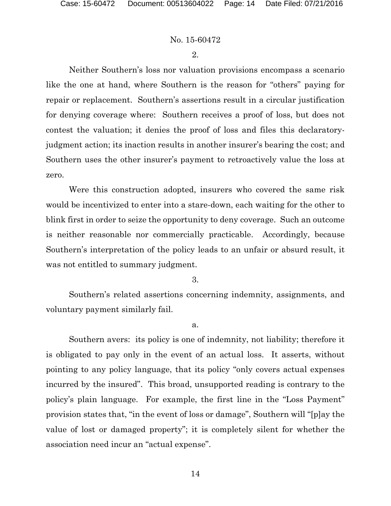2.

Neither Southern's loss nor valuation provisions encompass a scenario like the one at hand, where Southern is the reason for "others" paying for repair or replacement. Southern's assertions result in a circular justification for denying coverage where: Southern receives a proof of loss, but does not contest the valuation; it denies the proof of loss and files this declaratoryjudgment action; its inaction results in another insurer's bearing the cost; and Southern uses the other insurer's payment to retroactively value the loss at zero.

Were this construction adopted, insurers who covered the same risk would be incentivized to enter into a stare-down, each waiting for the other to blink first in order to seize the opportunity to deny coverage. Such an outcome is neither reasonable nor commercially practicable. Accordingly, because Southern's interpretation of the policy leads to an unfair or absurd result, it was not entitled to summary judgment.

3.

Southern's related assertions concerning indemnity, assignments, and voluntary payment similarly fail.

a.

Southern avers: its policy is one of indemnity, not liability; therefore it is obligated to pay only in the event of an actual loss. It asserts, without pointing to any policy language, that its policy "only covers actual expenses incurred by the insured". This broad, unsupported reading is contrary to the policy's plain language. For example, the first line in the "Loss Payment" provision states that, "in the event of loss or damage", Southern will "[p]ay the value of lost or damaged property"; it is completely silent for whether the association need incur an "actual expense".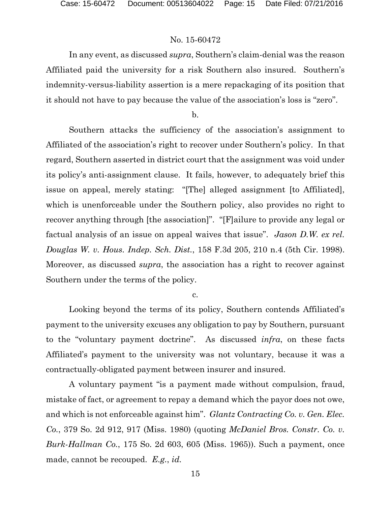In any event, as discussed *supra*, Southern's claim-denial was the reason Affiliated paid the university for a risk Southern also insured. Southern's indemnity-versus-liability assertion is a mere repackaging of its position that it should not have to pay because the value of the association's loss is "zero".

b.

Southern attacks the sufficiency of the association's assignment to Affiliated of the association's right to recover under Southern's policy. In that regard, Southern asserted in district court that the assignment was void under its policy's anti-assignment clause. It fails, however, to adequately brief this issue on appeal, merely stating: "[The] alleged assignment [to Affiliated], which is unenforceable under the Southern policy, also provides no right to recover anything through [the association]". "[F]ailure to provide any legal or factual analysis of an issue on appeal waives that issue". *Jason D.W. ex rel. Douglas W. v. Hous. Indep. Sch. Dist.*, 158 F.3d 205, 210 n.4 (5th Cir. 1998). Moreover, as discussed *supra*, the association has a right to recover against Southern under the terms of the policy.

c.

Looking beyond the terms of its policy, Southern contends Affiliated's payment to the university excuses any obligation to pay by Southern, pursuant to the "voluntary payment doctrine". As discussed *infra*, on these facts Affiliated's payment to the university was not voluntary, because it was a contractually-obligated payment between insurer and insured.

A voluntary payment "is a payment made without compulsion, fraud, mistake of fact, or agreement to repay a demand which the payor does not owe, and which is not enforceable against him". *Glantz Contracting Co. v. Gen. Elec. Co.*, 379 So. 2d 912, 917 (Miss. 1980) (quoting *McDaniel Bros. Constr. Co. v. Burk-Hallman Co.*, 175 So. 2d 603, 605 (Miss. 1965)). Such a payment, once made, cannot be recouped. *E.g.*, *id.*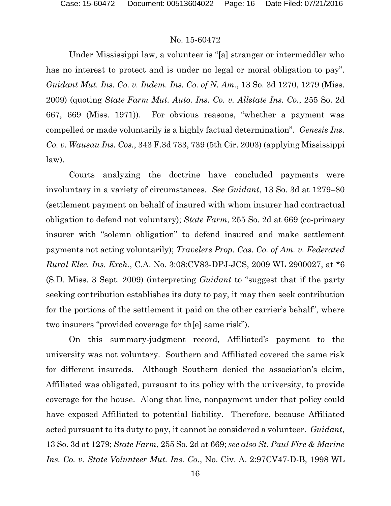Under Mississippi law, a volunteer is "[a] stranger or intermeddler who has no interest to protect and is under no legal or moral obligation to pay". *Guidant Mut. Ins. Co. v. Indem. Ins. Co. of N. Am.*, 13 So. 3d 1270, 1279 (Miss. 2009) (quoting *State Farm Mut. Auto. Ins. Co. v. Allstate Ins. Co.*, 255 So. 2d 667, 669 (Miss. 1971)). For obvious reasons, "whether a payment was compelled or made voluntarily is a highly factual determination". *Genesis Ins. Co. v. Wausau Ins. Cos.*, 343 F.3d 733, 739 (5th Cir. 2003) (applying Mississippi law).

Courts analyzing the doctrine have concluded payments were involuntary in a variety of circumstances. *See Guidant*, 13 So. 3d at 1279–80 (settlement payment on behalf of insured with whom insurer had contractual obligation to defend not voluntary); *State Farm*, 255 So. 2d at 669 (co-primary insurer with "solemn obligation" to defend insured and make settlement payments not acting voluntarily); *Travelers Prop. Cas. Co. of Am. v. Federated Rural Elec. Ins. Exch.*, C.A. No. 3:08:CV83-DPJ-JCS, 2009 WL 2900027, at \*6 (S.D. Miss. 3 Sept. 2009) (interpreting *Guidant* to "suggest that if the party seeking contribution establishes its duty to pay, it may then seek contribution for the portions of the settlement it paid on the other carrier's behalf", where two insurers "provided coverage for th[e] same risk").

On this summary-judgment record, Affiliated's payment to the university was not voluntary. Southern and Affiliated covered the same risk for different insureds. Although Southern denied the association's claim, Affiliated was obligated, pursuant to its policy with the university, to provide coverage for the house. Along that line, nonpayment under that policy could have exposed Affiliated to potential liability. Therefore, because Affiliated acted pursuant to its duty to pay, it cannot be considered a volunteer. *Guidant*, 13 So. 3d at 1279; *State Farm*, 255 So. 2d at 669; *see also St. Paul Fire & Marine Ins. Co. v. State Volunteer Mut. Ins. Co.*, No. Civ. A. 2:97CV47-D-B, 1998 WL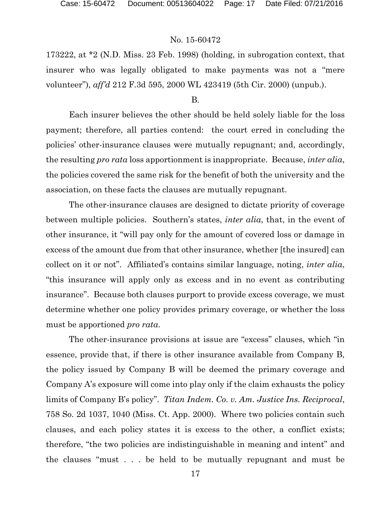173222, at \*2 (N.D. Miss. 23 Feb. 1998) (holding, in subrogation context, that insurer who was legally obligated to make payments was not a "mere volunteer"), *aff'd* 212 F.3d 595, 2000 WL 423419 (5th Cir. 2000) (unpub.).

#### B.

Each insurer believes the other should be held solely liable for the loss payment; therefore, all parties contend: the court erred in concluding the policies' other-insurance clauses were mutually repugnant; and, accordingly, the resulting *pro rata* loss apportionment is inappropriate. Because, *inter alia*, the policies covered the same risk for the benefit of both the university and the association, on these facts the clauses are mutually repugnant.

The other-insurance clauses are designed to dictate priority of coverage between multiple policies. Southern's states, *inter alia*, that, in the event of other insurance, it "will pay only for the amount of covered loss or damage in excess of the amount due from that other insurance, whether [the insured] can collect on it or not". Affiliated's contains similar language, noting, *inter alia*, "this insurance will apply only as excess and in no event as contributing insurance". Because both clauses purport to provide excess coverage, we must determine whether one policy provides primary coverage, or whether the loss must be apportioned *pro rata*.

The other-insurance provisions at issue are "excess" clauses, which "in essence, provide that, if there is other insurance available from Company B, the policy issued by Company B will be deemed the primary coverage and Company A's exposure will come into play only if the claim exhausts the policy limits of Company B's policy". *Titan Indem. Co. v. Am. Justice Ins. Reciprocal*, 758 So. 2d 1037, 1040 (Miss. Ct. App. 2000). Where two policies contain such clauses, and each policy states it is excess to the other, a conflict exists; therefore, "the two policies are indistinguishable in meaning and intent" and the clauses "must . . . be held to be mutually repugnant and must be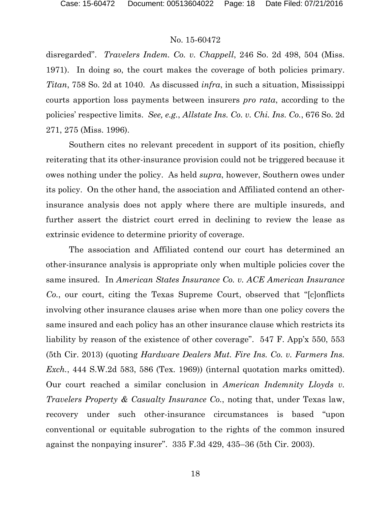disregarded". *Travelers Indem. Co. v. Chappell*, 246 So. 2d 498, 504 (Miss. 1971). In doing so, the court makes the coverage of both policies primary. *Titan*, 758 So. 2d at 1040. As discussed *infra*, in such a situation, Mississippi courts apportion loss payments between insurers *pro rata*, according to the policies' respective limits. *See, e.g.*, *Allstate Ins. Co. v. Chi. Ins. Co.*, 676 So. 2d 271, 275 (Miss. 1996).

Southern cites no relevant precedent in support of its position, chiefly reiterating that its other-insurance provision could not be triggered because it owes nothing under the policy. As held *supra*, however, Southern owes under its policy. On the other hand, the association and Affiliated contend an otherinsurance analysis does not apply where there are multiple insureds, and further assert the district court erred in declining to review the lease as extrinsic evidence to determine priority of coverage.

The association and Affiliated contend our court has determined an other-insurance analysis is appropriate only when multiple policies cover the same insured. In *American States Insurance Co. v. ACE American Insurance Co.*, our court, citing the Texas Supreme Court, observed that "[c]onflicts involving other insurance clauses arise when more than one policy covers the same insured and each policy has an other insurance clause which restricts its liability by reason of the existence of other coverage". 547 F. App'x 550, 553 (5th Cir. 2013) (quoting *Hardware Dealers Mut. Fire Ins. Co. v. Farmers Ins. Exch.*, 444 S.W.2d 583, 586 (Tex. 1969)) (internal quotation marks omitted). Our court reached a similar conclusion in *American Indemnity Lloyds v. Travelers Property & Casualty Insurance Co.*, noting that, under Texas law, recovery under such other-insurance circumstances is based "upon conventional or equitable subrogation to the rights of the common insured against the nonpaying insurer". 335 F.3d 429, 435–36 (5th Cir. 2003).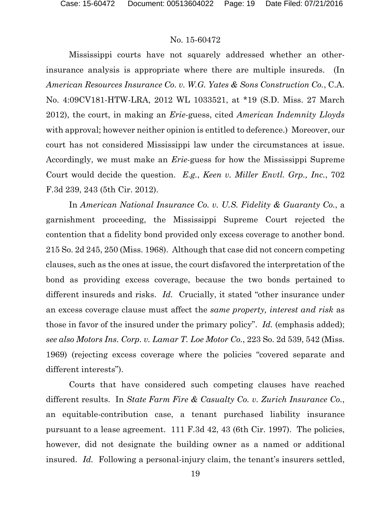Mississippi courts have not squarely addressed whether an otherinsurance analysis is appropriate where there are multiple insureds. (In *American Resources Insurance Co. v. W.G. Yates & Sons Construction Co.*, C.A. No. 4:09CV181-HTW-LRA, 2012 WL 1033521, at \*19 (S.D. Miss. 27 March 2012), the court, in making an *Erie*-guess, cited *American Indemnity Lloyds* with approval; however neither opinion is entitled to deference.) Moreover, our court has not considered Mississippi law under the circumstances at issue. Accordingly, we must make an *Erie*-guess for how the Mississippi Supreme Court would decide the question. *E.g.*, *Keen v. Miller Envtl. Grp., Inc.*, 702 F.3d 239, 243 (5th Cir. 2012).

In *American National Insurance Co. v. U.S. Fidelity & Guaranty Co.*, a garnishment proceeding, the Mississippi Supreme Court rejected the contention that a fidelity bond provided only excess coverage to another bond. 215 So. 2d 245, 250 (Miss. 1968). Although that case did not concern competing clauses, such as the ones at issue, the court disfavored the interpretation of the bond as providing excess coverage, because the two bonds pertained to different insureds and risks. *Id.* Crucially, it stated "other insurance under an excess coverage clause must affect the *same property, interest and risk* as those in favor of the insured under the primary policy". *Id.* (emphasis added); *see also Motors Ins. Corp. v. Lamar T. Loe Motor Co.*, 223 So. 2d 539, 542 (Miss. 1969) (rejecting excess coverage where the policies "covered separate and different interests").

Courts that have considered such competing clauses have reached different results. In *State Farm Fire & Casualty Co. v. Zurich Insurance Co.*, an equitable-contribution case, a tenant purchased liability insurance pursuant to a lease agreement. 111 F.3d 42, 43 (6th Cir. 1997). The policies, however, did not designate the building owner as a named or additional insured. *Id.* Following a personal-injury claim, the tenant's insurers settled,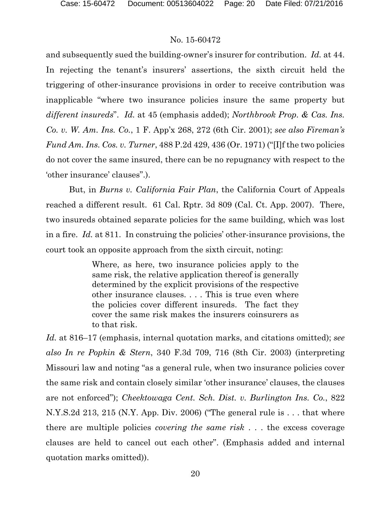and subsequently sued the building-owner's insurer for contribution. *Id.* at 44. In rejecting the tenant's insurers' assertions, the sixth circuit held the triggering of other-insurance provisions in order to receive contribution was inapplicable "where two insurance policies insure the same property but *different insureds*". *Id.* at 45 (emphasis added); *Northbrook Prop. & Cas. Ins. Co. v. W. Am. Ins. Co.*, 1 F. App'x 268, 272 (6th Cir. 2001); *see also Fireman's Fund Am. Ins. Cos. v. Turner*, 488 P.2d 429, 436 (Or. 1971) ("[I]f the two policies do not cover the same insured, there can be no repugnancy with respect to the 'other insurance' clauses".).

But, in *Burns v. California Fair Plan*, the California Court of Appeals reached a different result. 61 Cal. Rptr. 3d 809 (Cal. Ct. App. 2007). There, two insureds obtained separate policies for the same building, which was lost in a fire. *Id.* at 811. In construing the policies' other-insurance provisions, the court took an opposite approach from the sixth circuit, noting:

> Where, as here, two insurance policies apply to the same risk, the relative application thereof is generally determined by the explicit provisions of the respective other insurance clauses. . . . This is true even where the policies cover different insureds. The fact they cover the same risk makes the insurers coinsurers as to that risk.

*Id.* at 816–17 (emphasis, internal quotation marks, and citations omitted); *see also In re Popkin & Stern*, 340 F.3d 709, 716 (8th Cir. 2003) (interpreting Missouri law and noting "as a general rule, when two insurance policies cover the same risk and contain closely similar 'other insurance' clauses, the clauses are not enforced"); *Cheektowaga Cent. Sch. Dist. v. Burlington Ins. Co.*, 822 N.Y.S.2d 213, 215 (N.Y. App. Div. 2006) ("The general rule is . . . that where there are multiple policies *covering the same risk* . . . the excess coverage clauses are held to cancel out each other". (Emphasis added and internal quotation marks omitted)).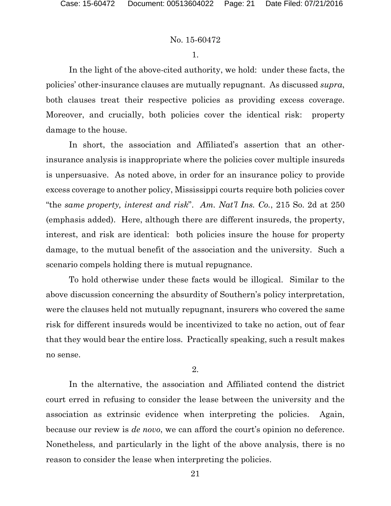1.

In the light of the above-cited authority, we hold: under these facts, the policies' other-insurance clauses are mutually repugnant. As discussed *supra*, both clauses treat their respective policies as providing excess coverage. Moreover, and crucially, both policies cover the identical risk: property damage to the house.

In short, the association and Affiliated's assertion that an otherinsurance analysis is inappropriate where the policies cover multiple insureds is unpersuasive. As noted above, in order for an insurance policy to provide excess coverage to another policy, Mississippi courts require both policies cover "the *same property, interest and risk*". *Am. Nat'l Ins. Co.*, 215 So. 2d at 250 (emphasis added). Here, although there are different insureds, the property, interest, and risk are identical: both policies insure the house for property damage, to the mutual benefit of the association and the university. Such a scenario compels holding there is mutual repugnance.

To hold otherwise under these facts would be illogical. Similar to the above discussion concerning the absurdity of Southern's policy interpretation, were the clauses held not mutually repugnant, insurers who covered the same risk for different insureds would be incentivized to take no action, out of fear that they would bear the entire loss. Practically speaking, such a result makes no sense.

2.

In the alternative, the association and Affiliated contend the district court erred in refusing to consider the lease between the university and the association as extrinsic evidence when interpreting the policies. Again, because our review is *de novo*, we can afford the court's opinion no deference. Nonetheless, and particularly in the light of the above analysis, there is no reason to consider the lease when interpreting the policies.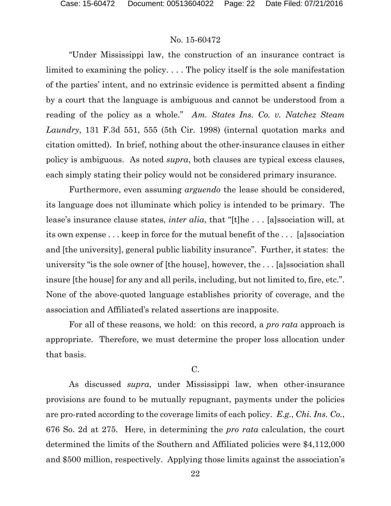"Under Mississippi law, the construction of an insurance contract is limited to examining the policy. . . . The policy itself is the sole manifestation of the parties' intent, and no extrinsic evidence is permitted absent a finding by a court that the language is ambiguous and cannot be understood from a reading of the policy as a whole." *Am. States Ins. Co. v. Natchez Steam Laundry*, 131 F.3d 551, 555 (5th Cir. 1998) (internal quotation marks and citation omitted). In brief, nothing about the other-insurance clauses in either policy is ambiguous. As noted *supra*, both clauses are typical excess clauses, each simply stating their policy would not be considered primary insurance.

Furthermore, even assuming *arguendo* the lease should be considered, its language does not illuminate which policy is intended to be primary. The lease's insurance clause states, *inter alia*, that "[t]he . . . [a]ssociation will, at its own expense . . . keep in force for the mutual benefit of the . . . [a]ssociation and [the university], general public liability insurance". Further, it states: the university "is the sole owner of [the house], however, the . . . [a]ssociation shall insure [the house] for any and all perils, including, but not limited to, fire, etc.". None of the above-quoted language establishes priority of coverage, and the association and Affiliated's related assertions are inapposite.

For all of these reasons, we hold: on this record, a *pro rata* approach is appropriate. Therefore, we must determine the proper loss allocation under that basis.

#### C.

As discussed *supra*, under Mississippi law, when other-insurance provisions are found to be mutually repugnant, payments under the policies are pro-rated according to the coverage limits of each policy. *E.g.*, *Chi. Ins. Co.*, 676 So. 2d at 275. Here, in determining the *pro rata* calculation, the court determined the limits of the Southern and Affiliated policies were \$4,112,000 and \$500 million, respectively. Applying those limits against the association's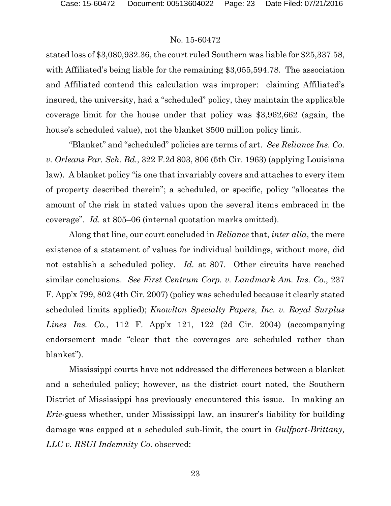stated loss of \$3,080,932.36, the court ruled Southern was liable for \$25,337.58, with Affiliated's being liable for the remaining \$3,055,594.78. The association and Affiliated contend this calculation was improper: claiming Affiliated's insured, the university, had a "scheduled" policy, they maintain the applicable coverage limit for the house under that policy was \$3,962,662 (again, the house's scheduled value), not the blanket \$500 million policy limit.

"Blanket" and "scheduled" policies are terms of art. *See Reliance Ins. Co. v. Orleans Par. Sch. Bd.*, 322 F.2d 803, 806 (5th Cir. 1963) (applying Louisiana law). A blanket policy "is one that invariably covers and attaches to every item of property described therein"; a scheduled, or specific, policy "allocates the amount of the risk in stated values upon the several items embraced in the coverage". *Id.* at 805–06 (internal quotation marks omitted).

Along that line, our court concluded in *Reliance* that, *inter alia*, the mere existence of a statement of values for individual buildings, without more, did not establish a scheduled policy. *Id.* at 807. Other circuits have reached similar conclusions. *See First Centrum Corp. v. Landmark Am. Ins. Co.*, 237 F. App'x 799, 802 (4th Cir. 2007) (policy was scheduled because it clearly stated scheduled limits applied); *Knowlton Specialty Papers, Inc. v. Royal Surplus Lines Ins. Co.*, 112 F. App'x 121, 122 (2d Cir. 2004) (accompanying endorsement made "clear that the coverages are scheduled rather than blanket").

Mississippi courts have not addressed the differences between a blanket and a scheduled policy; however, as the district court noted, the Southern District of Mississippi has previously encountered this issue. In making an *Erie*-guess whether, under Mississippi law, an insurer's liability for building damage was capped at a scheduled sub-limit, the court in *Gulfport-Brittany, LLC v. RSUI Indemnity Co.* observed: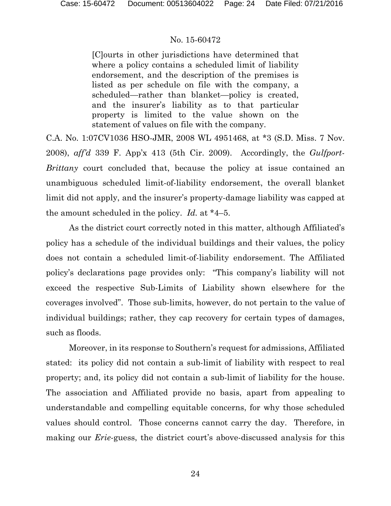[C]ourts in other jurisdictions have determined that where a policy contains a scheduled limit of liability endorsement, and the description of the premises is listed as per schedule on file with the company, a scheduled—rather than blanket—policy is created, and the insurer's liability as to that particular property is limited to the value shown on the statement of values on file with the company.

C.A. No. 1:07CV1036 HSO-JMR, 2008 WL 4951468, at \*3 (S.D. Miss. 7 Nov. 2008), *aff'd* 339 F. App'x 413 (5th Cir. 2009). Accordingly, the *Gulfport-Brittany* court concluded that, because the policy at issue contained an unambiguous scheduled limit-of-liability endorsement, the overall blanket limit did not apply, and the insurer's property-damage liability was capped at the amount scheduled in the policy. *Id.* at \*4–5.

As the district court correctly noted in this matter, although Affiliated's policy has a schedule of the individual buildings and their values, the policy does not contain a scheduled limit-of-liability endorsement. The Affiliated policy's declarations page provides only: "This company's liability will not exceed the respective Sub-Limits of Liability shown elsewhere for the coverages involved". Those sub-limits, however, do not pertain to the value of individual buildings; rather, they cap recovery for certain types of damages, such as floods.

Moreover, in its response to Southern's request for admissions, Affiliated stated: its policy did not contain a sub-limit of liability with respect to real property; and, its policy did not contain a sub-limit of liability for the house. The association and Affiliated provide no basis, apart from appealing to understandable and compelling equitable concerns, for why those scheduled values should control. Those concerns cannot carry the day. Therefore, in making our *Erie*-guess, the district court's above-discussed analysis for this